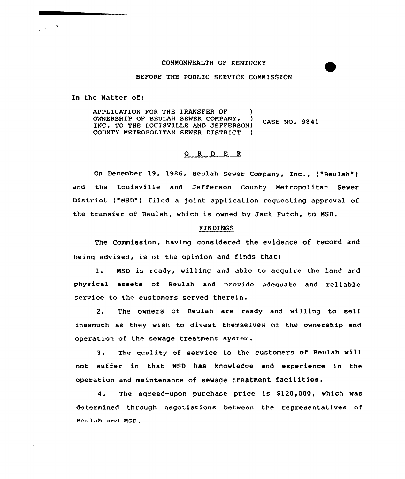## COMMONWEALTH OF KENTUCKY

BEFORE THE PUBLIC SERVICE COMMISSION

In the Natter of:

APPLICATION FOR THE TRANSFER OF  $\rightarrow$  0WNERSHIP OF BEULAH SEWER COMPANY. OWNERSHIP OF BEULAH SEWER COMPANY, CASE NO. 9841 INC. TO THE LOUISVILLE AND JEFFERSON)<br>COUNTY METROPOLITAN SEWER DISTRICT COUNTY METROPOLITAN SEWER DISTRICT )

## 0 <sup>R</sup> <sup>D</sup> E <sup>R</sup>

On December 19, 1986, Beulah Sewer Company, Inc., ("Beulah" ) and the Louisville and Jefferson county Metropolitan Sewer District ("MSD") filed a joint application requesting approval of the transfer of Beulah, which is owned by Jack Futch, to MSD.

## FINDINGS

The Commission, having considered the evidence of record and being advised, is of the opinion and finds that:

l. NSD is ready, willing and able to acquire the land and physical assets of Beulah and provide adequate and reliable service to the customers served therein.

2. The owners of Beulah are ready and willing to sell inasmuch as they wish to divest themselves of the ownership and operation of the sewage treatment system.

3. The quality of service to the customers of Beulah will not suffer in that NSD has knowledge and experience in the operation and maintenance of sewage treatment facilities.

4. The agreed-upon purchase price is \$120,000, which was determined through negotiations between the representatives of Beulah and MSD.